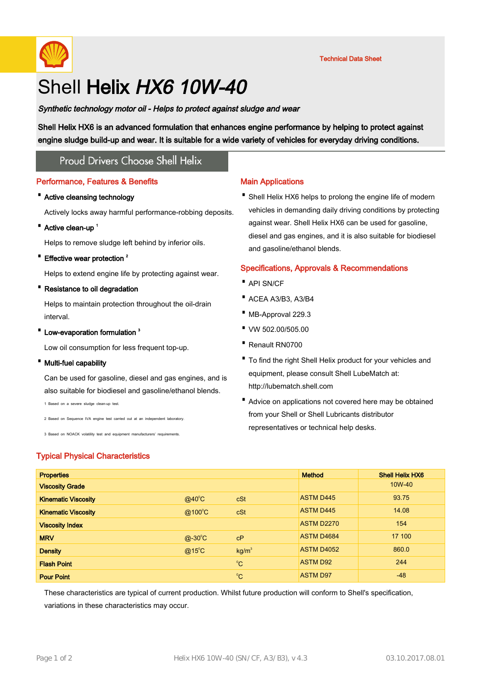

# Shell Helix HX6 10W-40

Synthetic technology motor oil - Helps to protect against sludge and wear

Shell Helix HX6 is an advanced formulation that enhances engine performance by helping to protect against engine sludge build-up and wear. It is suitable for a wide variety of vehicles for everyday driving conditions.

## **Proud Drivers Choose Shell Helix**

#### Performance, Features & Benefits

#### · Active cleansing technology

Actively locks away harmful performance-robbing deposits.

• Active clean-up<sup>1</sup>

Helps to remove sludge left behind by inferior oils.

• Effective wear protection<sup>2</sup>

Helps to extend engine life by protecting against wear.

· Resistance to oil degradation

Helps to maintain protection throughout the oil-drain interval.

• Low-evaporation formulation<sup>3</sup>

Low oil consumption for less frequent top-up.

· Multi-fuel capability

Can be used for gasoline, diesel and gas engines, and is also suitable for biodiesel and gasoline/ethanol blends.

1 Based on a severe sludge clean-up test.

2 Based on Sequence IVA engine test carried out at an independent laboratory.

3 Based on NOACK volatility test and equipment manufacturers' requirements.

## Typical Physical Characteristics

## Main Applications

• Shell Helix HX6 helps to prolong the engine life of modern vehicles in demanding daily driving conditions by protecting against wear. Shell Helix HX6 can be used for gasoline, diesel and gas engines, and it is also suitable for biodiesel and gasoline/ethanol blends.

## Specifications, Approvals & Recommendations

- · API SN/CF
- · ACEA A3/B3, A3/B4
- · MB-Approval 229.3
- · VW 502.00/505.00
- · Renault RN0700
- To find the right Shell Helix product for your vehicles and equipment, please consult Shell LubeMatch at: http://lubematch.shell.com
- Advice on applications not covered here may be obtained from your Shell or Shell Lubricants distributor representatives or technical help desks.

| <b>Properties</b>          |                 |                   | <b>Method</b>     | <b>Shell Helix HX6</b> |
|----------------------------|-----------------|-------------------|-------------------|------------------------|
| <b>Viscosity Grade</b>     |                 |                   |                   | 10W-40                 |
| <b>Kinematic Viscosity</b> | $@40^{\circ}$ C | cSt               | <b>ASTM D445</b>  | 93.75                  |
| <b>Kinematic Viscosity</b> | @100°C          | cSt               | <b>ASTM D445</b>  | 14.08                  |
| <b>Viscosity Index</b>     |                 |                   | <b>ASTM D2270</b> | 154                    |
| <b>MRV</b>                 | $@-30^{\circ}C$ | cP                | ASTM D4684        | 17 100                 |
| <b>Density</b>             | $@15^{\circ}$ C | kg/m <sup>3</sup> | <b>ASTM D4052</b> | 860.0                  |
| <b>Flash Point</b>         |                 | $^{\circ}C$       | <b>ASTM D92</b>   | 244                    |
| <b>Pour Point</b>          |                 | $^{\circ}$ C      | <b>ASTM D97</b>   | $-48$                  |

These characteristics are typical of current production. Whilst future production will conform to Shell's specification, variations in these characteristics may occur.